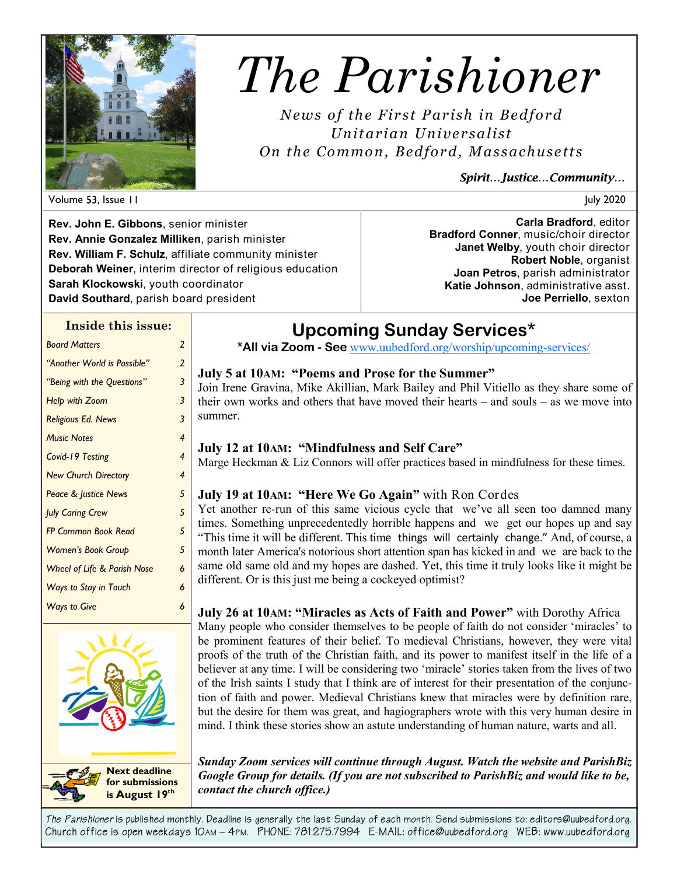

# *The Parishioner*

*News of the First Parish in Bedford Unitarian Unive rsalist On the Common, Bedfor d, Massachuse tts* 

*Spirit…Justice…Community…* 

**Rev. John E. Gibbons**, senior minister **Rev. Annie Gonzalez Milliken**, parish minister **Rev. William F. Schulz**, affiliate community minister **Deborah Weiner**, interim director of religious education **Sarah Klockowski**, youth coordinator **David Southard**, parish board president

**Carla Bradford**, editor **Bradford Conner**, music/choir director **Janet Welby**, youth choir director **Robert Noble**, organist **Joan Petros**, parish administrator **Katie Johnson**, administrative asst. **Joe Perriello**, sexton

### **Inside this issue:**

| <b>Board Matters</b>                   | $\mathcal{P}$            |
|----------------------------------------|--------------------------|
| "Another World is Possible"            | 2                        |
| "Being with the Questions"             | 3                        |
| Help with Zoom                         | 3                        |
| <b>Religious Ed. News</b>              | 3                        |
| <b>Music Notes</b>                     | $\overline{\mathcal{A}}$ |
| Covid-19 Testing                       | $\overline{\mathcal{A}}$ |
| <b>New Church Directory</b>            | 4                        |
| Peace & Justice News                   | 5                        |
| <b>July Caring Crew</b>                | 5                        |
| <b>FP Common Book Read</b>             | 5                        |
| <b>Women's Book Group</b>              | 5                        |
| <b>Wheel of Life &amp; Parish Nose</b> | 6                        |
| Ways to Stay in Touch                  | 6                        |
| <b>Ways to Give</b>                    | 6                        |
|                                        |                          |



**for submissions is August 19th**

# **Upcoming Sunday Services\***

**\*All via Zoom - See** www.uubedford.org/worship/upcoming-services/

### **July 5 at 10AM: "Poems and Prose for the Summer"** Join Irene Gravina, Mike Akillian, Mark Bailey and Phil Vitiello as they share some of their own works and others that have moved their hearts – and souls – as we move into summer.

### **July 12 at 10AM: "Mindfulness and Self Care"**

Marge Heckman & Liz Connors will offer practices based in mindfulness for these times.

# **July 19 at 10AM: "Here We Go Again"** with Ron Cordes

Yet another re-run of this same vicious cycle that we've all seen too damned many times. Something unprecedentedly horrible happens and we get our hopes up and say "This time it will be different. This time things will certainly change." And, of course, a month later America's notorious short attention span has kicked in and we are back to the same old same old and my hopes are dashed. Yet, this time it truly looks like it might be different. Or is this just me being a cockeyed optimist?

**July 26 at 10AM: "Miracles as Acts of Faith and Power"** with Dorothy Africa

Many people who consider themselves to be people of faith do not consider 'miracles' to be prominent features of their belief. To medieval Christians, however, they were vital proofs of the truth of the Christian faith, and its power to manifest itself in the life of a believer at any time. I will be considering two 'miracle' stories taken from the lives of two of the Irish saints I study that I think are of interest for their presentation of the conjunction of faith and power. Medieval Christians knew that miracles were by definition rare, but the desire for them was great, and hagiographers wrote with this very human desire in mind. I think these stories show an astute understanding of human nature, warts and all.

*Sunday Zoom services will continue through August. Watch the website and ParishBiz Google Group for details. (If you are not subscribed to ParishBiz and would like to be, contact the church office.)*

*The Parishioner* **is published monthly. Deadline is generally the last Sunday of each month. Send submissions to: editors@uubedford.org. Church office is open weekdays 10AM – 4PM. PHONE: 781.275.7994 E-MAIL: office@uubedford.org WEB: www.uubedford.org**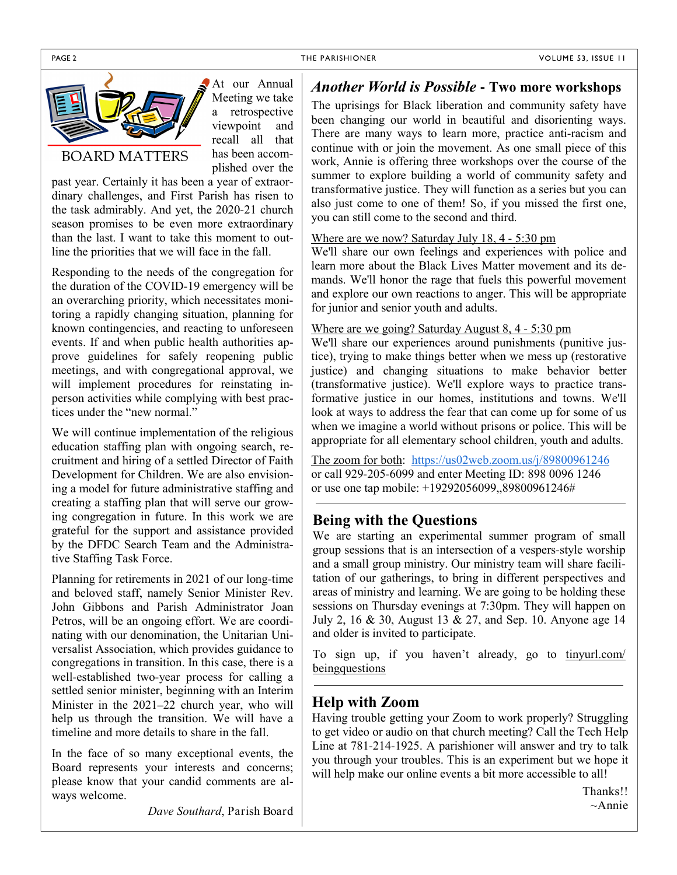

At our Annual Meeting we take a retrospective viewpoint and recall all that has been accomplished over the

### **BOARD MATTERS**

past year. Certainly it has been a year of extraordinary challenges, and First Parish has risen to the task admirably. And yet, the 2020-21 church season promises to be even more extraordinary than the last. I want to take this moment to outline the priorities that we will face in the fall.

Responding to the needs of the congregation for the duration of the COVID-19 emergency will be an overarching priority, which necessitates monitoring a rapidly changing situation, planning for known contingencies, and reacting to unforeseen events. If and when public health authorities approve guidelines for safely reopening public meetings, and with congregational approval, we will implement procedures for reinstating inperson activities while complying with best practices under the "new normal."

We will continue implementation of the religious education staffing plan with ongoing search, recruitment and hiring of a settled Director of Faith Development for Children. We are also envisioning a model for future administrative staffing and creating a staffing plan that will serve our growing congregation in future. In this work we are grateful for the support and assistance provided by the DFDC Search Team and the Administrative Staffing Task Force.

Planning for retirements in 2021 of our long-time and beloved staff, namely Senior Minister Rev. John Gibbons and Parish Administrator Joan Petros, will be an ongoing effort. We are coordinating with our denomination, the Unitarian Universalist Association, which provides guidance to congregations in transition. In this case, there is a well-established two-year process for calling a settled senior minister, beginning with an Interim Minister in the 2021–22 church year, who will help us through the transition. We will have a timeline and more details to share in the fall.

In the face of so many exceptional events, the Board represents your interests and concerns; please know that your candid comments are always welcome.

*Dave Southard*, Parish Board

### *Another World is Possible* **- Two more workshops**

The uprisings for Black liberation and community safety have been changing our world in beautiful and disorienting ways. There are many ways to learn more, practice anti-racism and continue with or join the movement. As one small piece of this work, Annie is offering three workshops over the course of the summer to explore building a world of community safety and transformative justice. They will function as a series but you can also just come to one of them! So, if you missed the first one, you can still come to the second and third.

#### Where are we now? Saturday July 18, 4 - 5:30 pm

We'll share our own feelings and experiences with police and learn more about the Black Lives Matter movement and its demands. We'll honor the rage that fuels this powerful movement and explore our own reactions to anger. This will be appropriate for junior and senior youth and adults.

### Where are we going? Saturday August 8, 4 - 5:30 pm

We'll share our experiences around punishments (punitive justice), trying to make things better when we mess up (restorative justice) and changing situations to make behavior better (transformative justice). We'll explore ways to practice transformative justice in our homes, institutions and towns. We'll look at ways to address the fear that can come up for some of us when we imagine a world without prisons or police. This will be appropriate for all elementary school children, youth and adults.

The zoom for both: https://us02web.zoom.us/j/89800961246 or call 929-205-6099 and enter Meeting ID: 898 0096 1246 or use one tap mobile: +19292056099,,89800961246#

# **Being with the Questions**

We are starting an experimental summer program of small group sessions that is an intersection of a vespers-style worship and a small group ministry. Our ministry team will share facilitation of our gatherings, to bring in different perspectives and areas of ministry and learning. We are going to be holding these sessions on Thursday evenings at 7:30pm. They will happen on July 2, 16 & 30, August 13 & 27, and Sep. 10. Anyone age 14 and older is invited to participate.

To sign up, if you haven't already, go to tinyurl.com/ beingquestions

# **Help with Zoom**

Having trouble getting your Zoom to work properly? Struggling to get video or audio on that church meeting? Call the Tech Help Line at 781-214-1925. A parishioner will answer and try to talk you through your troubles. This is an experiment but we hope it will help make our online events a bit more accessible to all!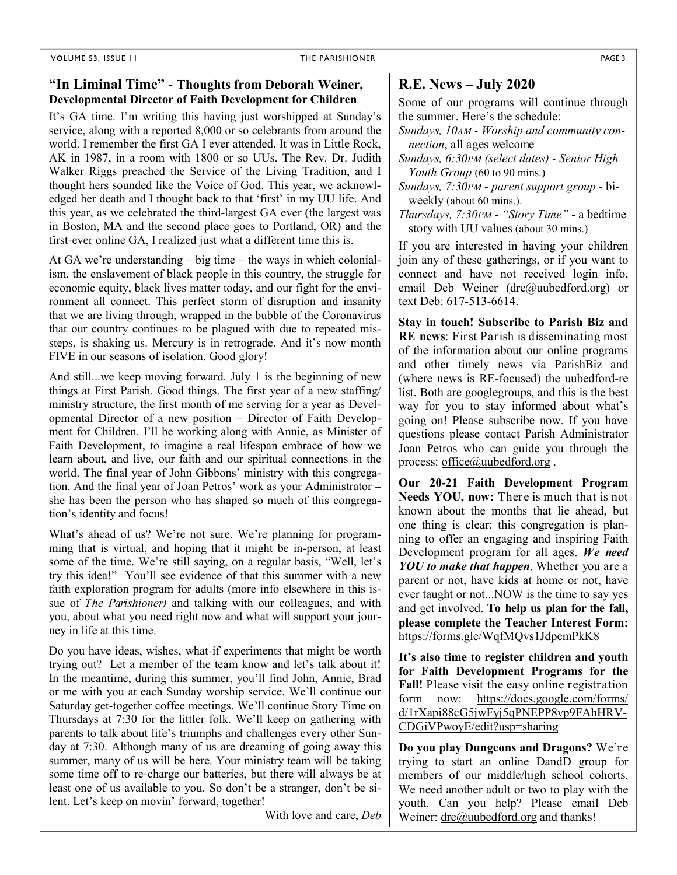### **"In Liminal Time" - Thoughts from Deborah Weiner, Developmental Director of Faith Development for Children**

It's GA time. I'm writing this having just worshipped at Sunday's service, along with a reported 8,000 or so celebrants from around the world. I remember the first GA I ever attended. It was in Little Rock, AK in 1987, in a room with 1800 or so UUs. The Rev. Dr. Judith Walker Riggs preached the Service of the Living Tradition, and I thought hers sounded like the Voice of God. This year, we acknowledged her death and I thought back to that 'first' in my UU life. And this year, as we celebrated the third-largest GA ever (the largest was in Boston, MA and the second place goes to Portland, OR) and the first-ever online GA, I realized just what a different time this is.

At GA we're understanding – big time – the ways in which colonialism, the enslavement of black people in this country, the struggle for economic equity, black lives matter today, and our fight for the environment all connect. This perfect storm of disruption and insanity that we are living through, wrapped in the bubble of the Coronavirus that our country continues to be plagued with due to repeated missteps, is shaking us. Mercury is in retrograde. And it's now month FIVE in our seasons of isolation. Good glory!

And still...we keep moving forward. July 1 is the beginning of new things at First Parish. Good things. The first year of a new staffing/ ministry structure, the first month of me serving for a year as Developmental Director of a new position – Director of Faith Development for Children. I'll be working along with Annie, as Minister of Faith Development, to imagine a real lifespan embrace of how we learn about, and live, our faith and our spiritual connections in the world. The final year of John Gibbons' ministry with this congregation. And the final year of Joan Petros' work as your Administrator – she has been the person who has shaped so much of this congregation's identity and focus!

What's ahead of us? We're not sure. We're planning for programming that is virtual, and hoping that it might be in-person, at least some of the time. We're still saying, on a regular basis, "Well, let's try this idea!" You'll see evidence of that this summer with a new faith exploration program for adults (more info elsewhere in this issue of *The Parishioner)* and talking with our colleagues, and with you, about what you need right now and what will support your journey in life at this time.

Do you have ideas, wishes, what-if experiments that might be worth trying out? Let a member of the team know and let's talk about it! In the meantime, during this summer, you'll find John, Annie, Brad or me with you at each Sunday worship service. We'll continue our Saturday get-together coffee meetings. We'll continue Story Time on Thursdays at 7:30 for the littler folk. We'll keep on gathering with parents to talk about life's triumphs and challenges every other Sunday at 7:30. Although many of us are dreaming of going away this summer, many of us will be here. Your ministry team will be taking some time off to re-charge our batteries, but there will always be at least one of us available to you. So don't be a stranger, don't be silent. Let's keep on movin' forward, together!

With love and care, *Deb*

### **R.E. News – July 2020**

Some of our programs will continue through the summer. Here's the schedule:

*Sundays, 10AM - Worship and community connection*, all ages welcome

*Sundays, 6:30PM (select dates) - Senior High Youth Group* (60 to 90 mins.)

*Sundays, 7:30PM* - *parent support group* - biweekly (about 60 mins.).

*Thursdays, 7:30PM - "Story Time"* **-** a bedtime story with UU values (about 30 mins.)

If you are interested in having your children join any of these gatherings, or if you want to connect and have not received login info, email Deb Weiner (dre@uubedford.org) or text Deb: 617-513-6614.

**Stay in touch! Subscribe to Parish Biz and RE news**: First Parish is disseminating most of the information about our online programs and other timely news via ParishBiz and (where news is RE-focused) the uubedford-re list. Both are googlegroups, and this is the best way for you to stay informed about what's going on! Please subscribe now. If you have questions please contact Parish Administrator Joan Petros who can guide you through the process: office@uubedford.org.

**Our 20-21 Faith Development Program Needs YOU, now:** There is much that is not known about the months that lie ahead, but one thing is clear: this congregation is planning to offer an engaging and inspiring Faith Development program for all ages. *We need YOU to make that happen*. Whether you are a parent or not, have kids at home or not, have ever taught or not...NOW is the time to say yes and get involved. **To help us plan for the fall, please complete the Teacher Interest Form:** https://forms.gle/WqfMQvs1JdpemPkK8

**It's also time to register children and youth for Faith Development Programs for the Fall!** Please visit the easy online registration form now: https://docs.google.com/forms/ d/1rXapi88cG5jwFyj5qPNEPP8vp9FAhHRV-CDGiVPwoyE/edit?usp=sharing

**Do you play Dungeons and Dragons?** We're trying to start an online DandD group for members of our middle/high school cohorts. We need another adult or two to play with the youth. Can you help? Please email Deb Weiner: dre@uubedford.org and thanks!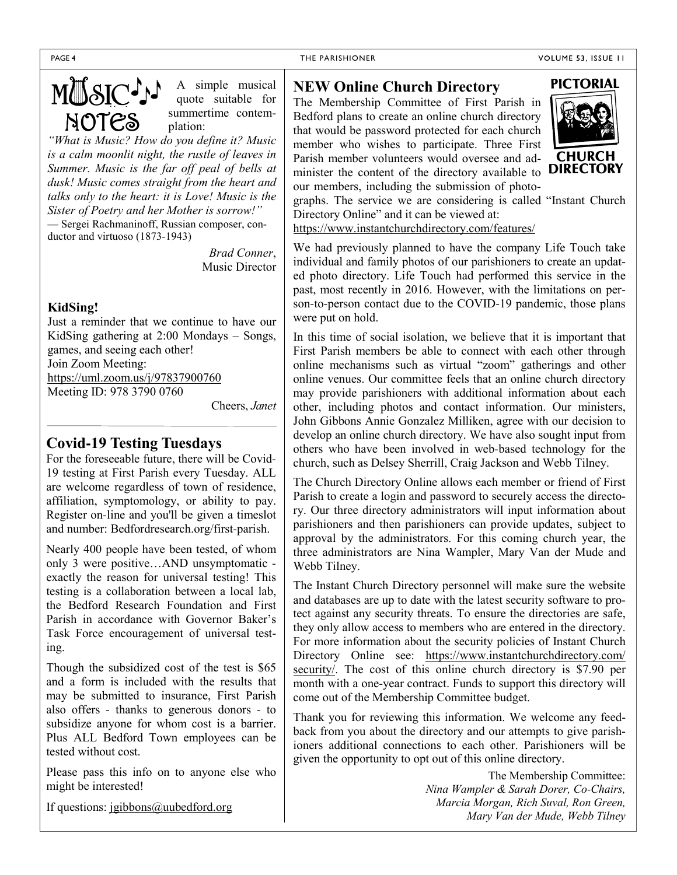# MUSIC<sup>J</sup>J<br>NOTES

A simple musical quote suitable for summertime contemplation:

*"What is Music? How do you define it? Music is a calm moonlit night, the rustle of leaves in Summer. Music is the far off peal of bells at dusk! Music comes straight from the heart and talks only to the heart: it is Love! Music is the Sister of Poetry and her Mother is sorrow!"*  — Sergei Rachmaninoff, Russian composer, conductor and virtuoso (1873-1943)

> *Brad Conner*, Music Director

### **KidSing!**

Just a reminder that we continue to have our KidSing gathering at 2:00 Mondays – Songs, games, and seeing each other! Join Zoom Meeting: https://uml.zoom.us/j/97837900760 Meeting ID: 978 3790 0760

Cheers, *Janet*

# **Covid-19 Testing Tuesdays**

For the foreseeable future, there will be Covid-19 testing at First Parish every Tuesday. ALL are welcome regardless of town of residence, affiliation, symptomology, or ability to pay. Register on-line and you'll be given a timeslot and number: Bedfordresearch.org/first-parish.

Nearly 400 people have been tested, of whom only 3 were positive…AND unsymptomatic exactly the reason for universal testing! This testing is a collaboration between a local lab, the Bedford Research Foundation and First Parish in accordance with Governor Baker's Task Force encouragement of universal testing.

Though the subsidized cost of the test is \$65 and a form is included with the results that may be submitted to insurance, First Parish also offers - thanks to generous donors - to subsidize anyone for whom cost is a barrier. Plus ALL Bedford Town employees can be tested without cost.

Please pass this info on to anyone else who might be interested!

If questions: jgibbons@uubedford.org

# **NEW Online Church Directory**

The Membership Committee of First Parish in Bedford plans to create an online church directory that would be password protected for each church member who wishes to participate. Three First Parish member volunteers would oversee and administer the content of the directory available to our members, including the submission of photo-



graphs. The service we are considering is called "Instant Church Directory Online" and it can be viewed at:

https://www.instantchurchdirectory.com/features/

We had previously planned to have the company Life Touch take individual and family photos of our parishioners to create an updated photo directory. Life Touch had performed this service in the past, most recently in 2016. However, with the limitations on person-to-person contact due to the COVID-19 pandemic, those plans were put on hold.

In this time of social isolation, we believe that it is important that First Parish members be able to connect with each other through online mechanisms such as virtual "zoom" gatherings and other online venues. Our committee feels that an online church directory may provide parishioners with additional information about each other, including photos and contact information. Our ministers, John Gibbons Annie Gonzalez Milliken, agree with our decision to develop an online church directory. We have also sought input from others who have been involved in web-based technology for the church, such as Delsey Sherrill, Craig Jackson and Webb Tilney.

The Church Directory Online allows each member or friend of First Parish to create a login and password to securely access the directory. Our three directory administrators will input information about parishioners and then parishioners can provide updates, subject to approval by the administrators. For this coming church year, the three administrators are Nina Wampler, Mary Van der Mude and Webb Tilney.

The Instant Church Directory personnel will make sure the website and databases are up to date with the latest security software to protect against any security threats. To ensure the directories are safe, they only allow access to members who are entered in the directory. For more information about the security policies of Instant Church Directory Online see: https://www.instantchurchdirectory.com/ security/. The cost of this online church directory is \$7.90 per month with a one-year contract. Funds to support this directory will come out of the Membership Committee budget.

Thank you for reviewing this information. We welcome any feedback from you about the directory and our attempts to give parishioners additional connections to each other. Parishioners will be given the opportunity to opt out of this online directory.

> The Membership Committee: *Nina Wampler & Sarah Dorer, Co-Chairs, Marcia Morgan, Rich Suval, Ron Green, Mary Van der Mude, Webb Tilney*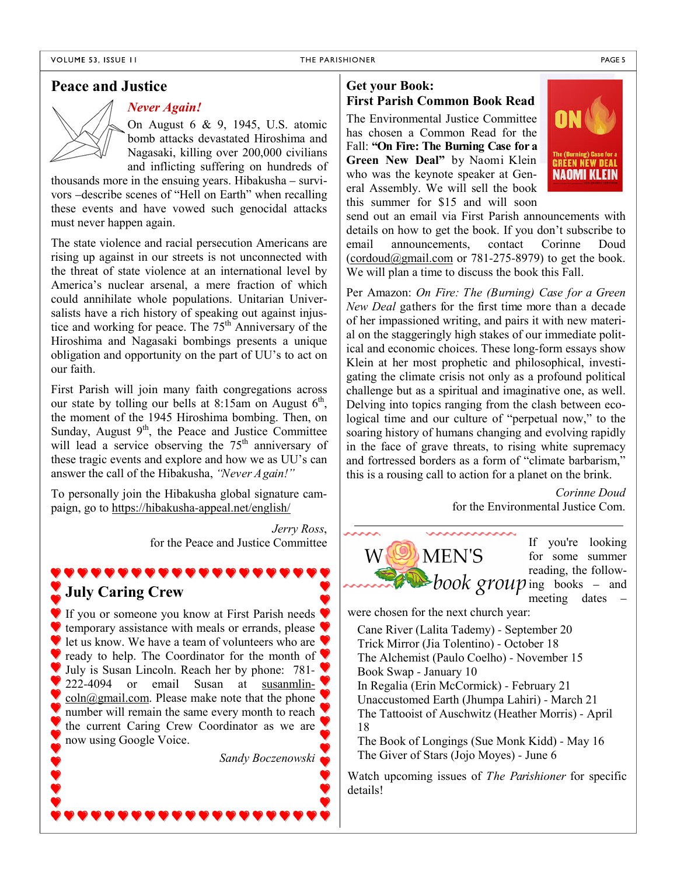### **Peace and Justice**

# *Never Again!*

On August 6 & 9, 1945, U.S. atomic bomb attacks devastated Hiroshima and Nagasaki, killing over 200,000 civilians and inflicting suffering on hundreds of

thousands more in the ensuing years. Hibakusha – survivors –describe scenes of "Hell on Earth" when recalling these events and have vowed such genocidal attacks must never happen again.

The state violence and racial persecution Americans are rising up against in our streets is not unconnected with the threat of state violence at an international level by America's nuclear arsenal, a mere fraction of which could annihilate whole populations. Unitarian Universalists have a rich history of speaking out against injustice and working for peace. The 75<sup>th</sup> Anniversary of the Hiroshima and Nagasaki bombings presents a unique obligation and opportunity on the part of UU's to act on our faith.

First Parish will join many faith congregations across our state by tolling our bells at 8:15am on August  $6<sup>th</sup>$ , the moment of the 1945 Hiroshima bombing. Then, on Sunday, August  $9<sup>th</sup>$ , the Peace and Justice Committee will lead a service observing the  $75<sup>th</sup>$  anniversary of these tragic events and explore and how we as UU's can answer the call of the Hibakusha, *"Never Again!"*

To personally join the Hibakusha global signature campaign, go to https://hibakusha-appeal.net/english/

,,,,,,,,,,,,,

*Jerry Ross*, for the Peace and Justice Committee

# **July Caring Crew**

If you or someone you know at First Parish needs  $\blacklozenge$ **temporary assistance with meals or errands, please** let us know. We have a team of volunteers who are  $\blacktriangledown$ ready to help. The Coordinator for the month of  $\blacktriangledown$ July is Susan Lincoln. Reach her by phone: 781- 222-4094 or email Susan at susanmlin- $\frac{\text{coln}(a)}{\text{gmain.com}}$ . Please make note that the phone number will remain the same every month to reach the current Caring Crew Coordinator as we are now using Google Voice.

*Sandy Boczenowski*

# **Get your Book: First Parish Common Book Read**

The Environmental Justice Committee has chosen a Common Read for the Fall: **"On Fire: The Burning Case for a Green New Deal"** by Naomi Klein who was the keynote speaker at General Assembly. We will sell the book this summer for \$15 and will soon



send out an email via First Parish announcements with details on how to get the book. If you don't subscribe to email announcements, contact Corinne Doud  $(cordoud@gmail.com or 781-275-8979)$  to get the book. We will plan a time to discuss the book this Fall.

Per Amazon: *On Fire: The (Burning) Case for a Green New Deal* gathers for the first time more than a decade of her impassioned writing, and pairs it with new material on the staggeringly high stakes of our immediate political and economic choices. These long-form essays show Klein at her most prophetic and philosophical, investigating the climate crisis not only as a profound political challenge but as a spiritual and imaginative one, as well. Delving into topics ranging from the clash between ecological time and our culture of "perpetual now," to the soaring history of humans changing and evolving rapidly in the face of grave threats, to rising white supremacy and fortressed borders as a form of "climate barbarism," this is a rousing call to action for a planet on the brink.

> *Corinne Doud* for the Environmental Justice Com.



If you're looking for some summer reading, the followmeeting dates –

were chosen for the next church year:

Cane River (Lalita Tademy) - September 20 Trick Mirror (Jia Tolentino) - October 18 The Alchemist (Paulo Coelho) - November 15 Book Swap - January 10 In Regalia (Erin McCormick) - February 21 Unaccustomed Earth (Jhumpa Lahiri) - March 21 The Tattooist of Auschwitz (Heather Morris) - April 18

The Book of Longings (Sue Monk Kidd) - May 16 The Giver of Stars (Jojo Moyes) - June 6

Watch upcoming issues of *The Parishioner* for specific details!